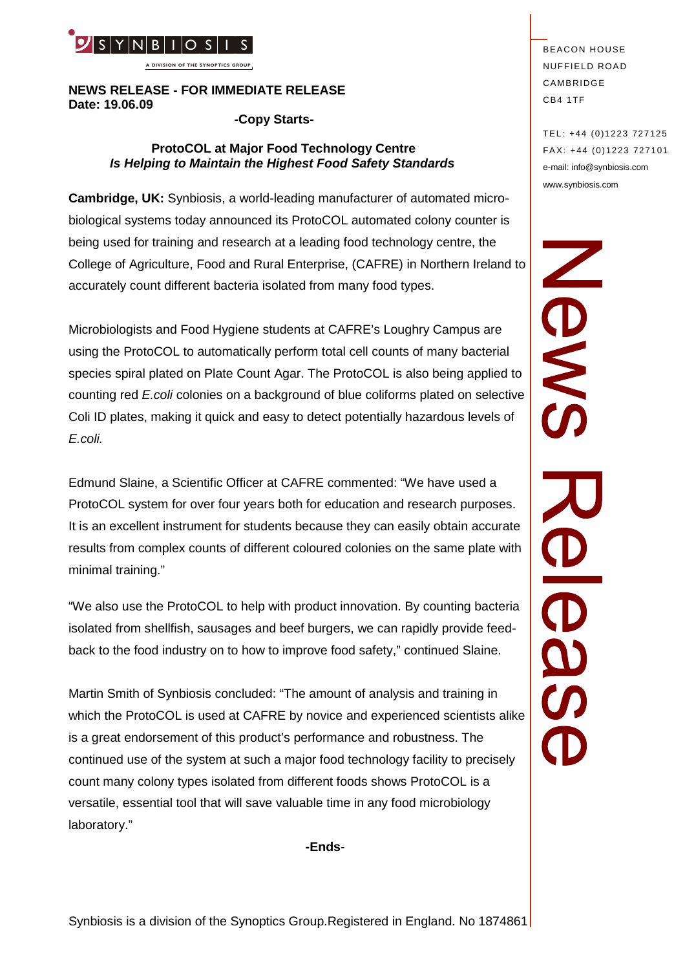

**A DIVISION OF THE SYNOPTICS GROUP**

# **NEWS RELEASE - FOR IMMEDIATE RELEASE Date: 19.06.09**

**-Copy Starts-**

# **ProtoCOL at Major Food Technology Centre** *Is Helping to Maintain the Highest Food Safety Standards*

**Cambridge, UK:** Synbiosis, a world-leading manufacturer of automated microbiological systems today announced its ProtoCOL automated colony counter is being used for training and research at a leading food technology centre, the accurately count different bacteria isolated from many food types.

College of Agriculture, Food and Rural Enterprise, (CAFRE) in Northern Ireland to<br>accurately count different bacteria isolated from many food types.<br>Microbiologists and Food Hygiene students at CAFRE's Loughry Campus are<br>u Microbiologists and Food Hygiene students at CAFRE's Loughry Campus are using the ProtoCOL to automatically perform total cell counts of many bacterial species spiral plated on Plate Count Agar. The ProtoCOL is also being applied to counting red *E.coli* colonies on a background of blue coliforms plated on selective Coli ID plates, making it quick and easy to detect potentially hazardous levels of *E.coli.*

Edmund Slaine, a Scientific Officer at CAFRE commented: "We have used a ProtoCOL system for over four years both for education and research purposes. It is an excellent instrument for students because they can easily obtain accurate results from complex counts of different coloured colonies on the same plate with minimal training."

"We also use the ProtoCOL to help with product innovation. By counting bacteria isolated from shellfish, sausages and beef burgers, we can rapidly provide feedback to the food industry on to how to improve food safety," continued Slaine.

Martin Smith of Synbiosis concluded: "The amount of analysis and training in which the ProtoCOL is used at CAFRE by novice and experienced scientists alike is a great endorsement of this product's performance and robustness. The continued use of the system at such a major food technology facility to precisely count many colony types isolated from different foods shows ProtoCOL is a versatile, essential tool that will save valuable time in any food microbiology laboratory."

**-Ends**-

**BEACON HOUSE NUFFIELD ROAD** CAMBRIDGE CB4 1TF

TEL: +44 (0)1223 727125 FA X: +44 (0)1223 727101 e-mail: info@synbiosis.com www.synbiosis.com

**DOS**